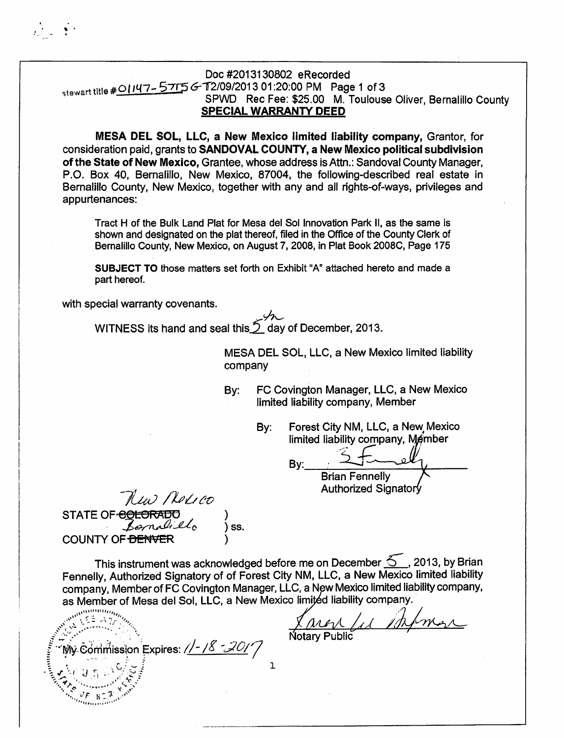## Doc #2013130802 eRecorded stewart title #01/47-57r56 12/09/2013 01:20:00 PM Page 1 of 3 SPWD Rec Fee: \$25.00 M. Toulouse Oliver, Bernalillo County SPECIAL WARRANTY DEED

MESA DEL SOL, LLC, a New Mexico limited liability company, Grantor, for consideration paid, grants to SANDOVAL COUNTY, a New Mexico political subdivision of the State of New Mexico, Grantee, whose address is Attn.: Sandoval County Manager, P.O. Box 40, Bernalillo, New Mexico, 87004, the following-described real estate in Bernalillo County, New Mexico, together with any and all rights-of-ways, privileges and appurtenances:

Tract H of the Bulk Land Plat for Mesa del Sol Innovation Park II, as the same is shown and designated on the plat thereof, filed in the Office of the County Clerk of Bemalillo County, New Mexico, on August 7, 2008, in Plat Book 2008C, Page 175

SUBJECT TO those matters set forth on Exhibit "A" attached hereto and made a part hereof.

with special warranty covenants.

 $\frac{1}{\sqrt{2}}$   $\frac{1}{2}$   $\frac{1}{2}$ 

WITNESS its hand and seal this  $\tilde{D}$  day of December, 2013.

MESA DEL SOL, LLC, a New Mexico limited liability company

By: FC Covington Manager, LLC, a New Mexico limited liability company. Member

By: Forest City NM, LLC, a New Mexico limited liability company, Member

Bv: Brian Fennelly

Authorized Signatory

New Nexico STATE OF <del>COLORADO</del> ) SS. COUNTY OF DENVER

This instrument was acknowledged before me on December  $\leq$  , 2013, by Brian Fennelly, Authorized Signatory of of Forest City NM, LLC, a New Mexico limited liability company. Member of FC Covington Manager, LLC, a New Mexico limited liability company, as Member of Mesa del Sol, LLC, a New Mexico limitéd liability company.

<u>*Jaren (11 /3)*</u>

 $\frac{1}{2}$  Notary Public "My Commission Expires: <u>// - /</u>o  $\mathbf{1}$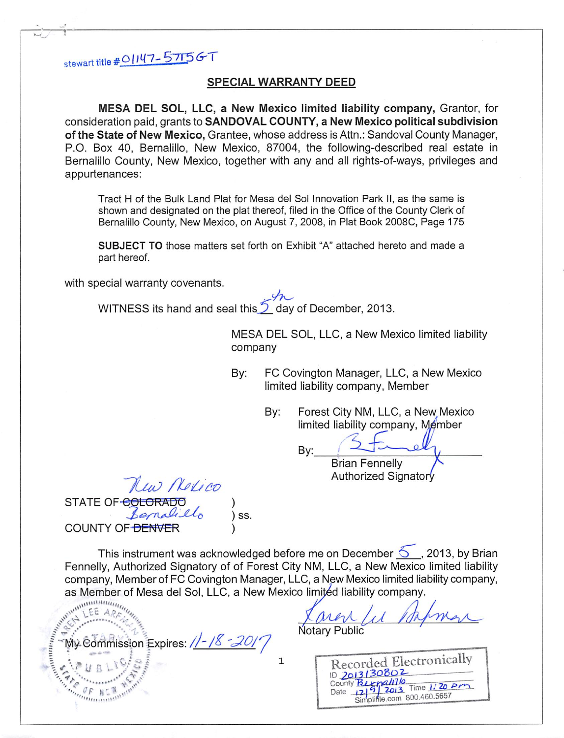stewart title #  $O(147 - 57156T)$ 

## SPECIAL WARRANTY DEED

MESA DEL SOL, LLC, a New Mexico limited liability company, Grantor, for consideration paid, grants to SANDOVAL COUNTY, a New Mexico political subdivision of the State of New Mexico, Grantee, whose address is Attn.: Sandoval County Manager, P.O. Box 40, Bemalillo, New Mexico, 87004, the following-described real estate in Bernalillo County, New Mexico, together with any and all rights-of-ways, privileges and appurtenances:

Tract H of the Bulk Land Plat for Mesa del Sol Innovation Park II, as the same is shown and designated on the plat thereof, filed in the Office of the County Clerk of Bernalillo County, New Mexico, on August 7, 2008, in Plat Book 2008C, Page 175

SUBJECT TO those matters set forth on Exhibit "A" attached hereto and made a part hereof.

with special warranty covenants.

WITNESS its hand and seal this  $\overline{D}$  day of December, 2013.

 $\overline{\phantom{a}}$  SS.

MESA DEL SOL, LLC, a New Mexico limited liability company

- By: FC Covington Manager, LLC, a New Mexico limited liability company, Member
	- By: Forest City NM, LLC, a New Mexico limited liability company,  $M$ ember

 $Bv:$ 

Brian Fennelly

The Review of Authorized Signatory STATE OF COLORADO

COUNTY OF DENVER

n ; ' v V C " more " W E N

This instrument was acknowledged before me on December  $\delta$ , 2013, by Brian Fennelly, Authorized Signatory of of Forest City NM, LLC, a New Mexico limited liability company. Member of FC Covington Manager, LLC, a New Mexico limited liability company, as Member of Mesa del Sol, LLC, a New Mexico limitéd liability company.<br>  $\begin{pmatrix} \frac{1}{2} & \frac{1}{2} & \frac{1}{2} & \frac{1}{2} & \frac{1}{2} & \frac{1}{2} & \frac{1}{2} & \frac{1}{2} & \frac{1}{2} & \frac{1}{2} & \frac{1}{2} & \frac{1}{2} & \frac{1}{2} & \frac{1}{2} & \frac{1}{2} & \frac{1}{2} & \frac{1}{2} & \frac{1}{$ 

My-Commission Expires:  $//-$  /8 - 20/ 7

 $\ell$ ,  $\ell$  /  $\ell$ 

Recorded Electronically ID 2013130802 ali7lo<br>2013 Time 1:20 Pm  $rad110$ County **BL**<br>Date 12  $12$ Simplifile.com 800.460.5657

 $\mathbf{1}$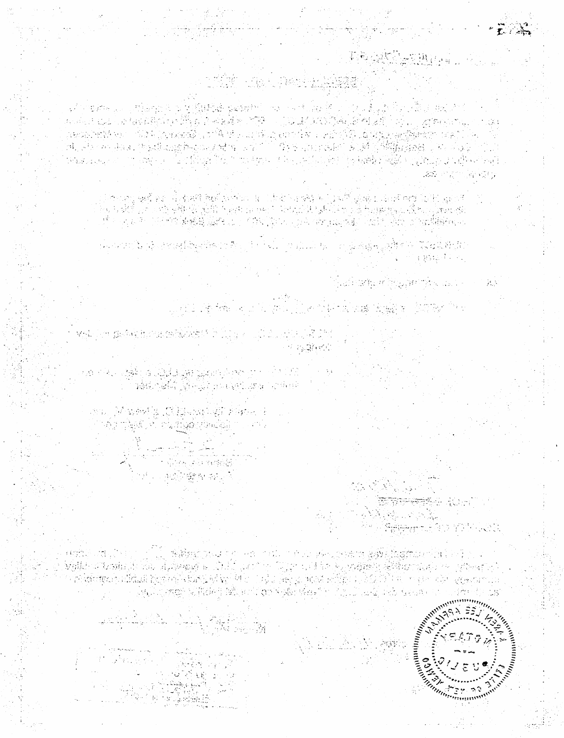

# TO CAN CONTRACTORES

المتعمل والمستوقي المراجح

与有些的相比,对这样的主要的**的是否是否是的**相同的。 医肠血病脾 计可以表示数据 网络意大利的 ာများသည်ရှိများက သံသမ်းညမှန်းတွေ့ရှိ သင်<sup>ရှိသွ</sup>င်း သင့်အသည် မဟာဝန်နှင့် သမည်တွေကြီးသည့်သည်ရွှေသို့များရှိရှိခဲ့ရသည် အဆုံးသမ်းမ rd, An Anglais, thuilling Byonard a fact the Capturellah Kild Challens Inn Aug than a second of the Contract of the first of the second state of the path of the second second second Les Primieres de

ිස්තුවෙයු මුවේ වැඩි විදුලිවෙහි සිදුවේද්රාසිතය. ඇගැනි මග වෙළිදී මට දුරටේ දැවුවේ දැයට දුව සඳහි වැටිදි දැවුරුම he sold for the second community of the light species for the property Holder Schaus and Constanting and the School of the School

的Sando (Constitution Action Color) (Second Constitution Constitution) 不算的 经工厂

> ales strange programmer and a  $\sim 100$

折风吹捧 地震学 医定院的 Quebeca 사용 상품 Canada (1984)

val le glaci perafikish kilip - Cili, aju jik je 化污腐解的的

1980 - Alexandria Carl Garagan durante et al 1980. en for the State of the Second Property of the Second Property of the Second Property of the Second Property of

And Marchell Cildery of Photo i 的动手的复数形式 的复数复数复数超级重新 计对应

> **COURS POINTING** *បត*ែកស្ថិត<del>និង</del>ការស្ថិត

**There will deal to** 

The **Property of App 19** The Coll

andria da civiliza de la Bandaría de Santo de Carlos de Caractera de Alegran de la 1949. Miller a banda (b. 1941) Alangay a Chalif yan tiri (1937 a 1996 a hiyangan katika tang banyan ng paggayar 그 사용 이 사람들은 아이의 사진을 하고 있다. 그는 그는 그의 사람들의 사람들이 나서 그는 그는 사람들이 있다. An Angels William March (1960) was the Communication of the Communication

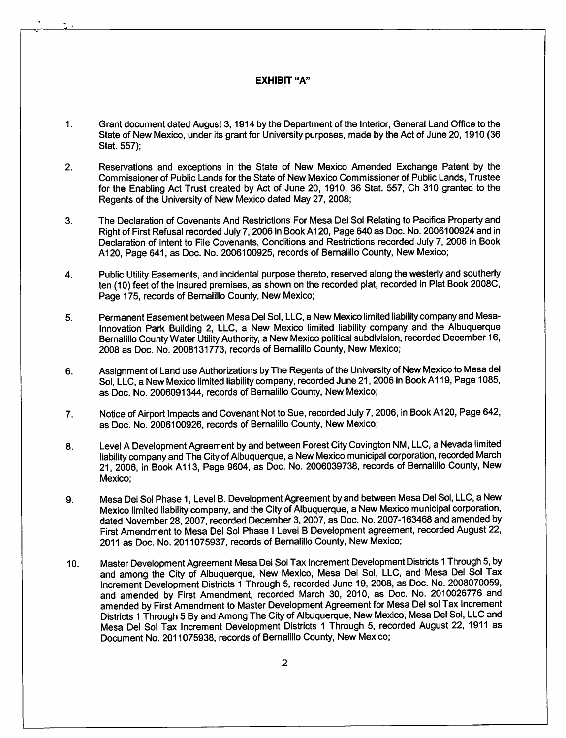### EXHIBIT "A"

- 1. Grant document dated August 3,1914 by the Department of the Interior, General Land Office to the State of New Mexico, under its grant for University purposes, made by the Act of June 20,1910 (36 Stat. 557):
- 2. Reservations and exceptions in the State of New Mexico Amended Exchange Patent by the Commissioner of Public Lands for the State of New Mexico Commissioner of Public Lands, Trustee for the Enabling Act Trust created by Act of June 20, 1910, 36 Stat. 557, Ch 310 granted to the Regents of the University of New Mexico dated May 27, 2008;
- 3. The Declaration of Covenants And Restrictions For Mesa Del Sol Relating to Pacifica Property and Right of First Refusal recorded July 7,2006 in Book A120, Page 640 as Doc. No. 2006100924 and in Declaration of Intent to File Covenants, Conditions and Restrictions recorded July 7, 2006 in Book A120, Page 641, as Doc. No. 2006100925, records of Bernalillo County, New Mexico;
- 4. Public Utility Easements, and incidental purpose thereto, reserved along the westerly and southerly ten (10) feet of the insured premises, as shown on the recorded plat, recorded in Plat Book 2008C, Page 175, records of Bernalillo County, New Mexico;
- 5. Permanent Easement between Mesa Del Sol, LLC, a New Mexico limited liability company and Mesa-Innovation Park Building 2, LLC, a New Mexico limited liability company and the Albuquerque Bernalillo County Water Utility Authority, a New Mexico political subdivision, recorded December 16, 2008 as Doc. No. 2008131773, records of Bernalillo County, New Mexico;
- 6. Assignment of Land use Authorizations by The Regents of the University of New Mexico to Mesa del Sol, LLC, a New Mexico limited liability company, recorded June 21, 2006 in Book A119, Page 1085, as Doc. No. 2006091344, records of Bernalillo County, New Mexico;
- 7. Notice of Airport Impacts and Covenant Not to Sue, recorded July 7,2006, in Book A120, Page 642, as Doc. No. 2006100926, records of Bernalillo County, New Mexico;
- 8. Level A Development Agreement by and between Forest City Covington NM, LLC, a Nevada limited liability company and The City of Albuquerque, a New Mexico municipal corporation, recorded March 21, 2006, in Book All3, Page 9604, as Doc. No. 2006039738, records of Bernalillo County, New Mexico;
- 9. Mesa Del Sol Phase 1, Level B. Development Agreement by and between Mesa Del Sol, LLC, a New Mexico limited liability company, and the City of Albuquerque, a New Mexico municipal corporation, dated November 28, 2007, recorded December 3, 2007, as Doc. No. 2007-163468 and amended by First Amendment to Mesa Del Sol Phase I Level B Development agreement, recorded August 22, 2011 as Doc. No. 2011075937, records of Bernalillo County, New Mexico;
- 10. Master Development Agreement Mesa Del Sol Tax Increment Development Districts 1 Through 5, by and among the City of Albuquerque, New Mexico, Mesa Del Sol, LLC, and Mesa Del Sol Tax Increment Development Districts 1 Through 5, recorded June 19, 2008, as Doc. No. 2008070059, and amended by First Amendment, recorded March 30, 2010, as Doc. No. 2010026776 and amended by First Amendment to Master Development Agreement for Mesa Del sol Tax Increment Districts 1 Through 5 By and Among The City of Albuquerque, New Mexico, Mesa Del Sol, LLC and Mesa Del Sol Tax Increment Development Districts 1 Through 5, recorded August 22, 1911 as Document No. 2011075938, records of Bernalillo County, New Mexico;